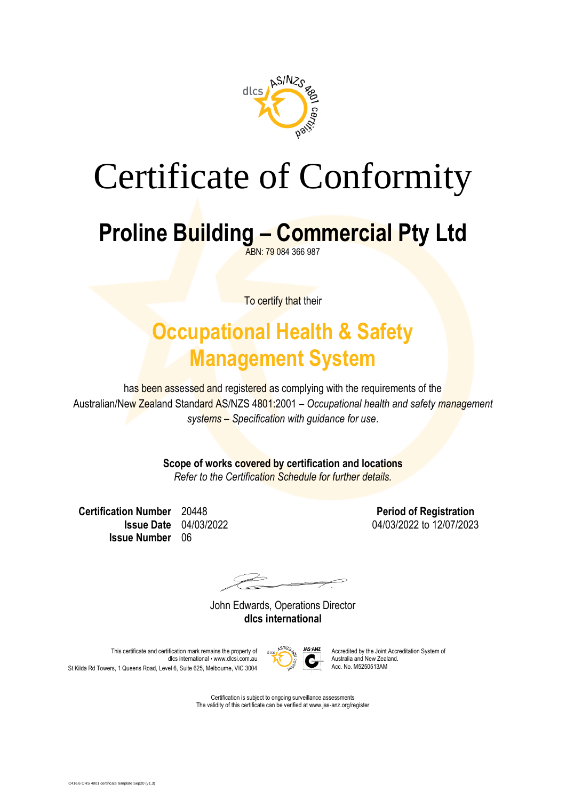

# Certificate of Conformity

### **Proline Building – Commercial Pty Ltd**

ABN: 79 084 366 987

To certify that their

#### **Occupational Health & Safety Management System**

has been assessed and registered as complying with the requirements of the Australian/New Zealand Standard AS/NZS 4801:2001 – *Occupational health and safety management systems – Specification with guidance for use*.

**Scope of works covered by certification and locations**

*Refer to the Certification Schedule for further details.*

**Certification Number** 20448 **Period of Registration Issue Number** 06

**Issue Date** 04/03/2022 04/03/2022 to 12/07/2023

John Edwards, Operations Director **dlcs international**



This certificate and certification mark remains the property of  $\frac{1}{\sqrt{2}}$  MS-ANZ Accredited by the Joint Accreditation System of discredited by the Joint Accreditation System of dlcs international • www.dlcsi.com.au Australia and New Zealand New Zealand New Zealand New Zealand. St Kilda Rd Towers, 1 Queens Road, Level 6, Suite 625, Melbourne, VIC 3004

> Certification is subject to ongoing surveillance assessments The validity of this certificate can be verified at www.jas-anz.org/register